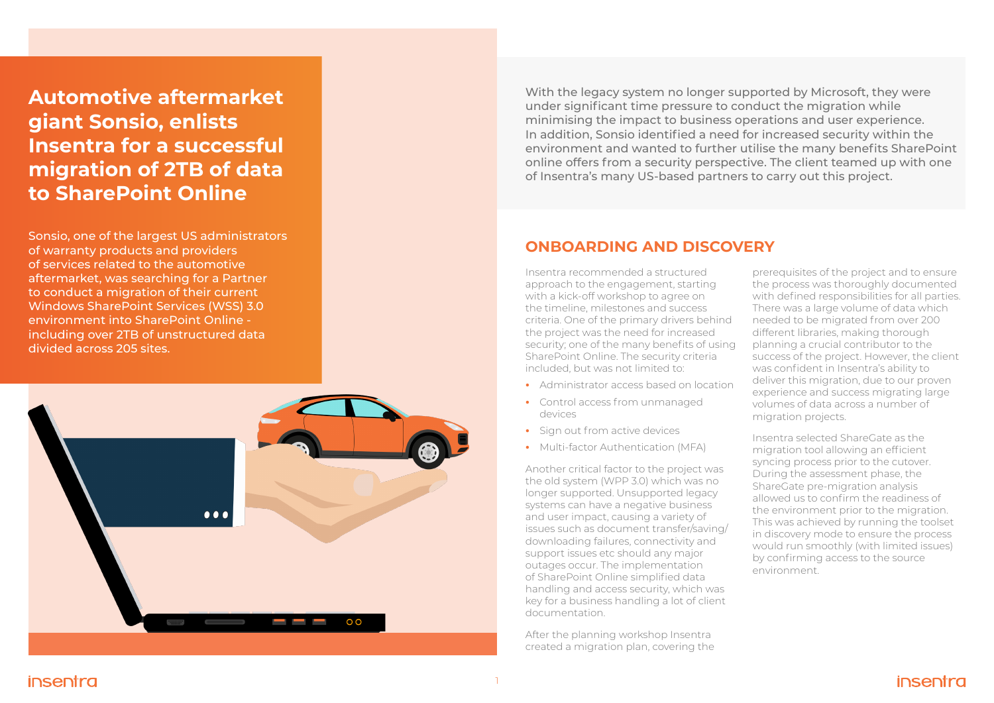Sonsio, one of the largest US administrators of warranty products and providers of services related to the automotive aftermarket, was searching for a Partner to conduct a migration of their current Windows SharePoint Services (WSS) 3.0 environment into SharePoint Online including over 2TB of unstructured data divided across 205 sites.



### **ONBOARDING AND DISCOVERY**

Insentra recommended a structured approach to the engagement, starting with a kick-off workshop to agree on the timeline, milestones and success criteria. One of the primary drivers behind the project was the need for increased security; one of the many benefits of using SharePoint Online. The security criteria included, but was not limited to:

- **•** Administrator access based on location
- **•** Control access from unmanaged devices
- **•** Sign out from active devices
- **•** Multi-factor Authentication (MFA)

Another critical factor to the project was the old system (WPP 3.0) which was no longer supported. Unsupported legacy systems can have a negative business and user impact, causing a variety of issues such as document transfer/saving/ downloading failures, connectivity and support issues etc should any major outages occur. The implementation of SharePoint Online simplified data handling and access security, which was key for a business handling a lot of client documentation.

After the planning workshop Insentra created a migration plan, covering the

## insentra

- prerequisites of the project and to ensure the process was thoroughly documented with defined responsibilities for all parties. There was a large volume of data which needed to be migrated from over 200 different libraries, making thorough planning a crucial contributor to the success of the project. However, the client was confident in Insentra's ability to deliver this migration, due to our proven experience and success migrating large volumes of data across a number of migration projects.
- Insentra selected ShareGate as the migration tool allowing an efficient syncing process prior to the cutover. During the assessment phase, the ShareGate pre-migration analysis allowed us to confirm the readiness of the environment prior to the migration. This was achieved by running the toolset in discovery mode to ensure the process would run smoothly (with limited issues) by confirming access to the source environment.



**Automotive aftermarket giant Sonsio, enlists Insentra for a successful migration of 2TB of data to SharePoint Online**

With the legacy system no longer supported by Microsoft, they were under significant time pressure to conduct the migration while minimising the impact to business operations and user experience. In addition, Sonsio identified a need for increased security within the environment and wanted to further utilise the many benefits SharePoint online offers from a security perspective. The client teamed up with one of Insentra's many US-based partners to carry out this project.